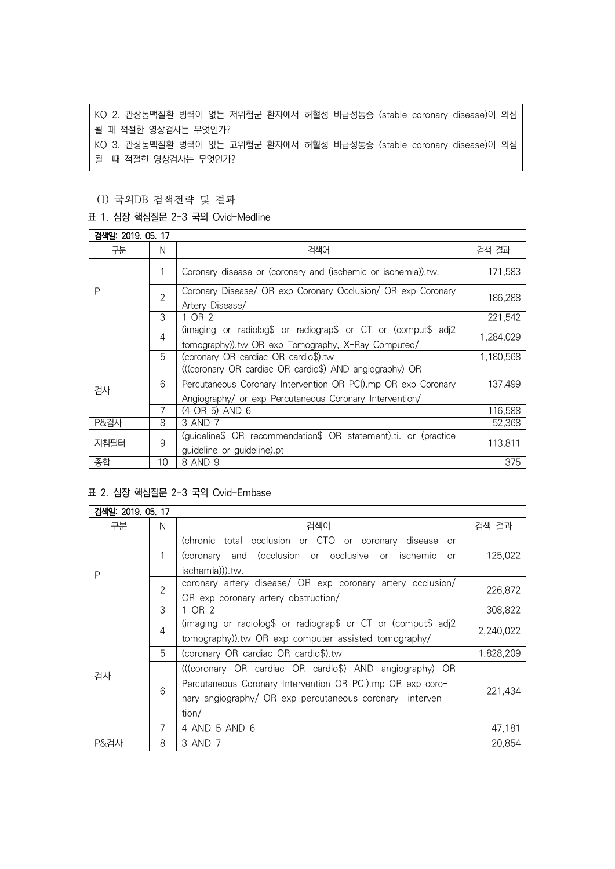KQ 2. 관상동맥질환 병력이 없는 저위험군 환자에서 허혈성 비급성통증 (stable coronary disease)이 의심 될 때 적절한 영상검사는 무엇인가? KQ 3. 관상동맥질환 병력이 없는 고위험군 환자에서 허혈성 비급성통증 (stable coronary disease)이 의심 될 때 적절한 영상검사는 무엇인가?

### (1) 국외DB 검색전략 및 결과

#### 표 1. 심장 핵심질문 2-3 국외 Ovid-Medline

| 검색일: 2019. 05. 17 |                |                                                                                                                                                                                     |           |
|-------------------|----------------|-------------------------------------------------------------------------------------------------------------------------------------------------------------------------------------|-----------|
| 구분                | N              | 검색어                                                                                                                                                                                 | 검색 결과     |
| P                 | 1              | Coronary disease or (coronary and (ischemic or ischemia)).tw.                                                                                                                       | 171.583   |
|                   | $\overline{2}$ | Coronary Disease/ OR exp Coronary Occlusion/ OR exp Coronary<br>Artery Disease/                                                                                                     | 186,288   |
|                   | 3              | OR 2                                                                                                                                                                                | 221,542   |
|                   | 4              | (imaging or radiolog\$ or radiograp\$ or CT or (comput\$ adj2<br>tomography)).tw OR exp Tomography, X-Ray Computed/                                                                 | 1,284,029 |
|                   | 5              | (coronary OR cardiac OR cardio\$).tw                                                                                                                                                | 1,180,568 |
| 검사                | 6              | (((coronary OR cardiac OR cardio\$) AND angiography) OR<br>Percutaneous Coronary Intervention OR PCI).mp OR exp Coronary<br>Angiography/ or exp Percutaneous Coronary Intervention/ | 137.499   |
|                   | 7              | (4 OR 5) AND 6                                                                                                                                                                      | 116,588   |
| <b>P&amp;검사</b>   | 8              | 3 AND 7                                                                                                                                                                             | 52,368    |
| 지침필터              | 9              | (guideline\$ OR recommendation\$ OR statement).ti. or (practice<br>guideline or guideline).pt                                                                                       | 113,811   |
| 종합                | 10             | 8 AND 9                                                                                                                                                                             | 375       |

#### 표 2. 심장 핵심질문 2-3 국외 Ovid-Embase

| 검색일: 2019, 05, 17 |                |                                                               |           |
|-------------------|----------------|---------------------------------------------------------------|-----------|
| 구분                | N              | 검색어                                                           | 검색 결과     |
| P                 |                | (chronic total occlusion or CTO or coronary disease<br>or     |           |
|                   | 1              | (coronary and (occlusion or occlusive or ischemic<br>or       | 125,022   |
|                   |                | ischemia))).tw.                                               |           |
|                   | $\overline{2}$ | coronary artery disease/ OR exp coronary artery occlusion/    | 226,872   |
|                   |                | OR exp coronary artery obstruction/                           |           |
|                   | 3              | 1 OR 2                                                        | 308,822   |
|                   | $\overline{4}$ | (imaging or radiolog\$ or radiograp\$ or CT or (comput\$ adj2 | 2,240,022 |
|                   |                | tomography)).tw OR exp computer assisted tomography/          |           |
|                   | 5              | (coronary OR cardiac OR cardio\$).tw                          | 1,828,209 |
| 검사                | 6              | (((coronary OR cardiac OR cardio\$) AND angiography) OR       |           |
|                   |                | Percutaneous Coronary Intervention OR PCI).mp OR exp coro-    | 221,434   |
|                   |                | nary angiography/ OR exp percutaneous coronary interven-      |           |
|                   |                | tion/                                                         |           |
|                   | $\overline{7}$ | 4 AND 5 AND 6                                                 | 47,181    |
| P&검사              | 8              | 3 AND 7                                                       | 20.854    |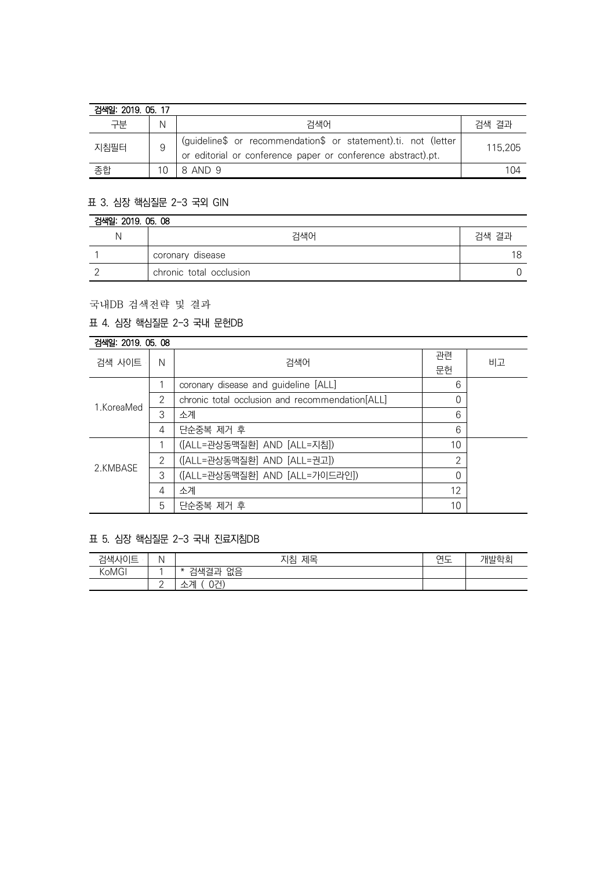| 검색일: 2019, 05, 17 |    |                                                                                                                                |         |
|-------------------|----|--------------------------------------------------------------------------------------------------------------------------------|---------|
| 구분                | Ν  | 검색어                                                                                                                            | 검색 결과   |
| 지침필터              |    | (guideline\$ or recommendation\$ or statement).ti. not (letter<br>or editorial or conference paper or conference abstract).pt. | 115.205 |
| 종합                | 10 | 8 AND 9                                                                                                                        | 104     |

# 표 3. 심장 핵심질문 2-3 국외 GIN

| 검색일: 2019. 05. 08 |                         |       |  |
|-------------------|-------------------------|-------|--|
|                   | 검색어                     | 검색 결과 |  |
|                   | coronary disease        |       |  |
|                   | chronic total occlusion |       |  |

국내DB 검색전략 및 결과

### 표 4. 심장 핵심질문 2-3 국내 문헌DB

| 검색일: 2019, 05, 08 |   |                                                 |                |    |
|-------------------|---|-------------------------------------------------|----------------|----|
| 검색 사이트            | N | 검색어                                             | 관련             | 비고 |
|                   |   |                                                 | 문헌             |    |
| 1.KoreaMed        |   | coronary disease and guideline [ALL]            | 6              |    |
|                   | 2 | chronic total occlusion and recommendation[ALL] | 0              |    |
|                   | 3 | 소계                                              | 6              |    |
|                   | 4 | 단순중복 제거 후                                       | 6              |    |
| 2.KMBASE          |   | ([ALL=관상동맥질환] AND [ALL=지침])                     | 10             |    |
|                   | 2 | ([ALL=관상동맥질환] AND [ALL=권고])                     | $\overline{2}$ |    |
|                   | 3 | ([ALL=관상동맥질환] AND [ALL=가이드라인])                  | $\Omega$       |    |
|                   | 4 | 소계                                              | 12             |    |
|                   | 5 | 단순중복 제거 후                                       | 10             |    |

# 표 5. 심장 핵심질문 2-3 국내 진료지침DB

| 검색사이트             | N        | 제목<br>지침                                    | $\sim$ $-$<br>ີ | 개발학회 |
|-------------------|----------|---------------------------------------------|-----------------|------|
| KoMG <sup>I</sup> |          | 없음<br>검색결.<br>ור<br>$T_{\rm eff}$<br>$\ast$ |                 |      |
|                   | <u>_</u> | 071)<br>계<br>$\lambda$<br>_                 |                 |      |